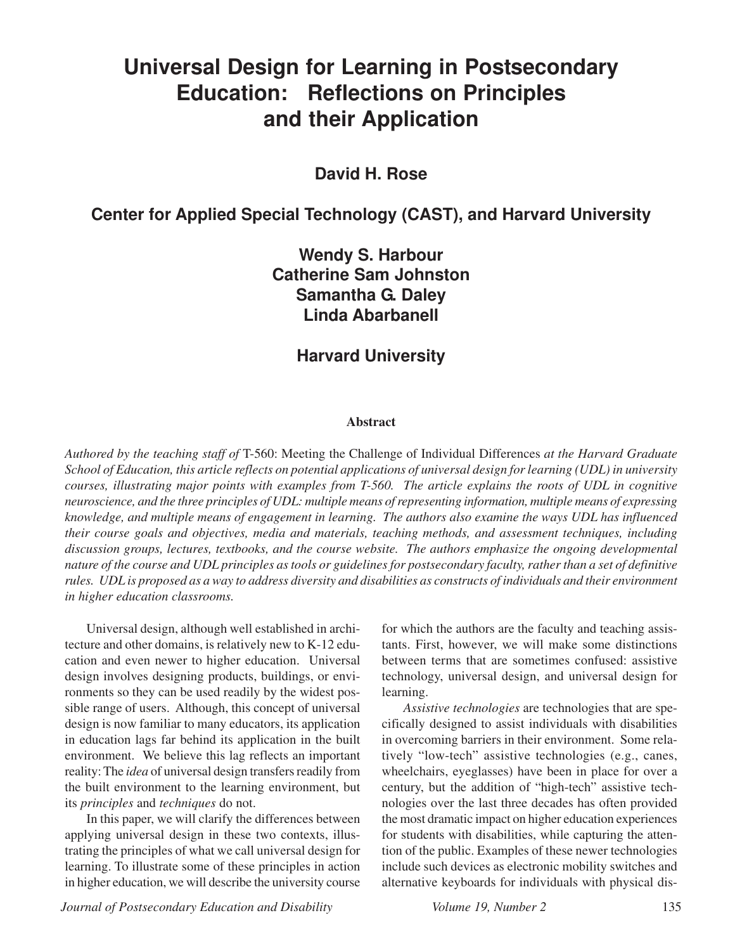# **Universal Design for Learning in Postsecondary Education: Reflections on Principles and their Application**

**David H. Rose**

# **Center for Applied Special Technology (CAST), and Harvard University**

**Wendy S. Harbour Catherine Sam Johnston Samantha G. Daley Linda Abarbanell**

# **Harvard University**

#### **Abstract**

*Authored by the teaching staff of* T-560: Meeting the Challenge of Individual Differences *at the Harvard Graduate School of Education, this article reflects on potential applications of universal design for learning (UDL) in university courses, illustrating major points with examples from T-560. The article explains the roots of UDL in cognitive neuroscience, and the three principles of UDL: multiple means of representing information, multiple means of expressing knowledge, and multiple means of engagement in learning. The authors also examine the ways UDL has influenced their course goals and objectives, media and materials, teaching methods, and assessment techniques, including discussion groups, lectures, textbooks, and the course website. The authors emphasize the ongoing developmental nature of the course and UDL principles as tools or guidelines for postsecondary faculty, rather than a set of definitive rules. UDL is proposed as a way to address diversity and disabilities as constructs of individuals and their environment in higher education classrooms.*

Universal design, although well established in architecture and other domains, is relatively new to K-12 education and even newer to higher education. Universal design involves designing products, buildings, or environments so they can be used readily by the widest possible range of users. Although, this concept of universal design is now familiar to many educators, its application in education lags far behind its application in the built environment. We believe this lag reflects an important reality: The *idea* of universal design transfers readily from the built environment to the learning environment, but its *principles* and *techniques* do not.

In this paper, we will clarify the differences between applying universal design in these two contexts, illustrating the principles of what we call universal design for learning. To illustrate some of these principles in action in higher education, we will describe the university course

for which the authors are the faculty and teaching assistants. First, however, we will make some distinctions between terms that are sometimes confused: assistive technology, universal design, and universal design for learning.

*Assistive technologies* are technologies that are specifically designed to assist individuals with disabilities in overcoming barriers in their environment. Some relatively "low-tech" assistive technologies (e.g., canes, wheelchairs, eyeglasses) have been in place for over a century, but the addition of "high-tech" assistive technologies over the last three decades has often provided the most dramatic impact on higher education experiences for students with disabilities, while capturing the attention of the public. Examples of these newer technologies include such devices as electronic mobility switches and alternative keyboards for individuals with physical dis-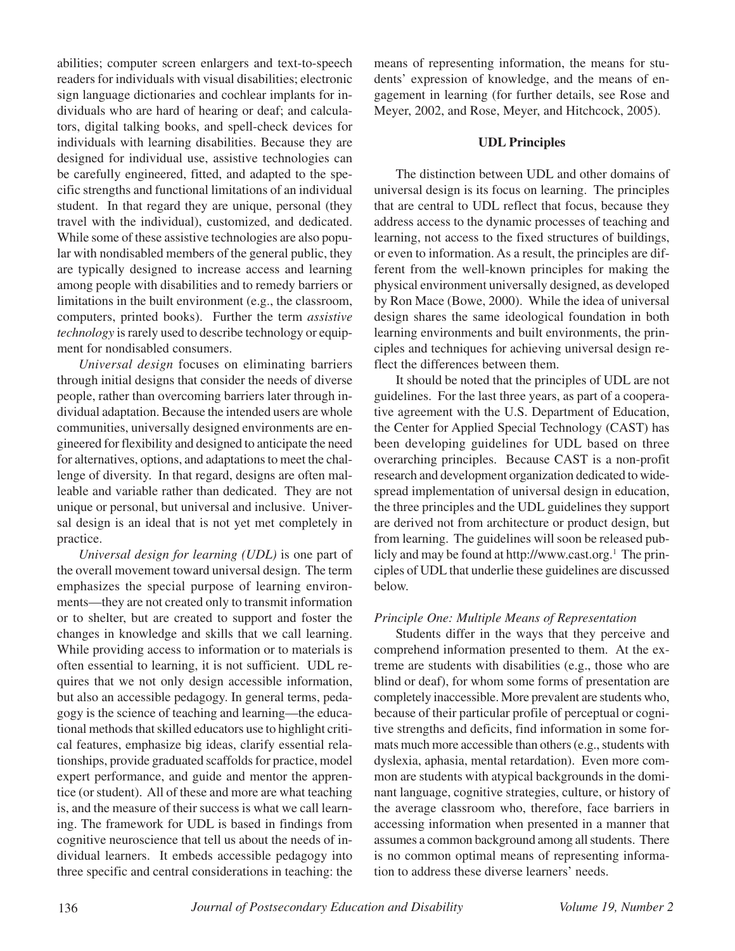abilities; computer screen enlargers and text-to-speech readers for individuals with visual disabilities; electronic sign language dictionaries and cochlear implants for individuals who are hard of hearing or deaf; and calculators, digital talking books, and spell-check devices for individuals with learning disabilities. Because they are designed for individual use, assistive technologies can be carefully engineered, fitted, and adapted to the specific strengths and functional limitations of an individual student. In that regard they are unique, personal (they travel with the individual), customized, and dedicated. While some of these assistive technologies are also popular with nondisabled members of the general public, they are typically designed to increase access and learning among people with disabilities and to remedy barriers or limitations in the built environment (e.g., the classroom, computers, printed books). Further the term *assistive technology* is rarely used to describe technology or equipment for nondisabled consumers.

*Universal design* focuses on eliminating barriers through initial designs that consider the needs of diverse people, rather than overcoming barriers later through individual adaptation. Because the intended users are whole communities, universally designed environments are engineered for flexibility and designed to anticipate the need for alternatives, options, and adaptations to meet the challenge of diversity. In that regard, designs are often malleable and variable rather than dedicated. They are not unique or personal, but universal and inclusive. Universal design is an ideal that is not yet met completely in practice.

*Universal design for learning (UDL)* is one part of the overall movement toward universal design. The term emphasizes the special purpose of learning environments—they are not created only to transmit information or to shelter, but are created to support and foster the changes in knowledge and skills that we call learning. While providing access to information or to materials is often essential to learning, it is not sufficient. UDL requires that we not only design accessible information, but also an accessible pedagogy. In general terms, pedagogy is the science of teaching and learning—the educational methods that skilled educators use to highlight critical features, emphasize big ideas, clarify essential relationships, provide graduated scaffolds for practice, model expert performance, and guide and mentor the apprentice (or student). All of these and more are what teaching is, and the measure of their success is what we call learning. The framework for UDL is based in findings from cognitive neuroscience that tell us about the needs of individual learners. It embeds accessible pedagogy into three specific and central considerations in teaching: the

means of representing information, the means for students' expression of knowledge, and the means of engagement in learning (for further details, see Rose and Meyer, 2002, and Rose, Meyer, and Hitchcock, 2005).

#### **UDL Principles**

The distinction between UDL and other domains of universal design is its focus on learning. The principles that are central to UDL reflect that focus, because they address access to the dynamic processes of teaching and learning, not access to the fixed structures of buildings, or even to information. As a result, the principles are different from the well-known principles for making the physical environment universally designed, as developed by Ron Mace (Bowe, 2000). While the idea of universal design shares the same ideological foundation in both learning environments and built environments, the principles and techniques for achieving universal design reflect the differences between them.

It should be noted that the principles of UDL are not guidelines. For the last three years, as part of a cooperative agreement with the U.S. Department of Education, the Center for Applied Special Technology (CAST) has been developing guidelines for UDL based on three overarching principles. Because CAST is a non-profit research and development organization dedicated to widespread implementation of universal design in education, the three principles and the UDL guidelines they support are derived not from architecture or product design, but from learning. The guidelines will soon be released publicly and may be found at http://www.cast.org.<sup>1</sup> The principles of UDL that underlie these guidelines are discussed below.

# *Principle One: Multiple Means of Representation*

Students differ in the ways that they perceive and comprehend information presented to them. At the extreme are students with disabilities (e.g., those who are blind or deaf), for whom some forms of presentation are completely inaccessible. More prevalent are students who, because of their particular profile of perceptual or cognitive strengths and deficits, find information in some formats much more accessible than others (e.g., students with dyslexia, aphasia, mental retardation). Even more common are students with atypical backgrounds in the dominant language, cognitive strategies, culture, or history of the average classroom who, therefore, face barriers in accessing information when presented in a manner that assumes a common background among all students. There is no common optimal means of representing information to address these diverse learners' needs.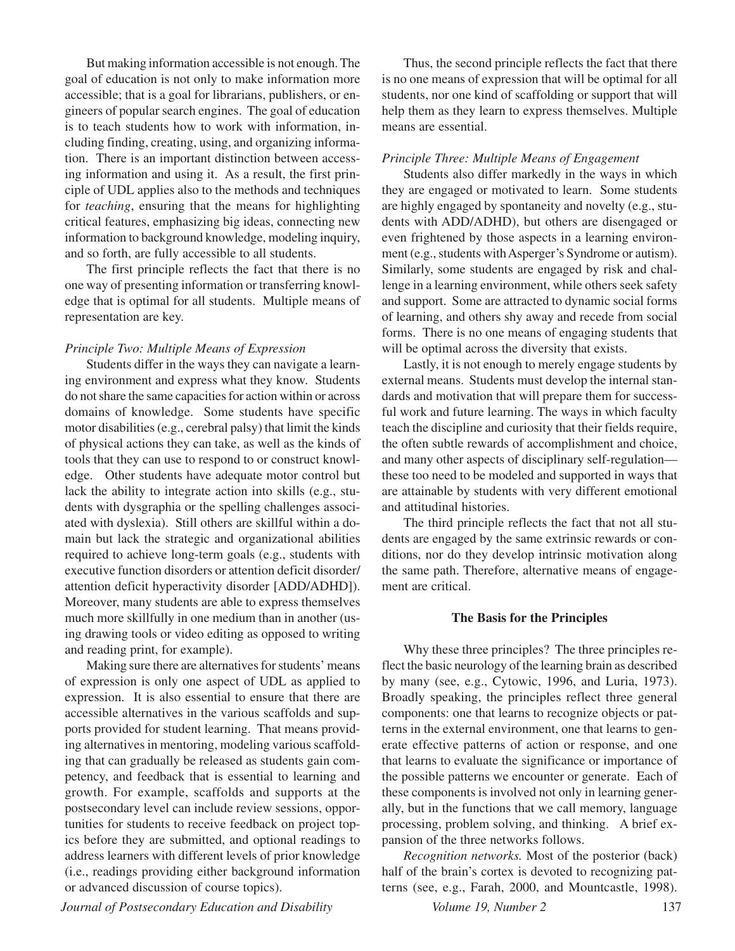But making information accessible is not enough. The goal of education is not only to make information more accessible; that is a goal for librarians, publishers, or engineers of popular search engines. The goal of education is to teach students how to work with information, including finding, creating, using, and organizing information. There is an important distinction between accessing information and using it. As a result, the first principle of UDL applies also to the methods and techniques for *teaching*, ensuring that the means for highlighting critical features, emphasizing big ideas, connecting new information to background knowledge, modeling inquiry, and so forth, are fully accessible to all students.

The first principle reflects the fact that there is no one way of presenting information or transferring knowledge that is optimal for all students. Multiple means of representation are key.

## *Principle Two: Multiple Means of Expression*

Students differ in the ways they can navigate a learning environment and express what they know. Students do not share the same capacities for action within or across domains of knowledge. Some students have specific motor disabilities (e.g., cerebral palsy) that limit the kinds of physical actions they can take, as well as the kinds of tools that they can use to respond to or construct knowledge. Other students have adequate motor control but lack the ability to integrate action into skills (e.g., students with dysgraphia or the spelling challenges associated with dyslexia). Still others are skillful within a domain but lack the strategic and organizational abilities required to achieve long-term goals (e.g., students with executive function disorders or attention deficit disorder/ attention deficit hyperactivity disorder [ADD/ADHD]). Moreover, many students are able to express themselves much more skillfully in one medium than in another (using drawing tools or video editing as opposed to writing and reading print, for example).

Making sure there are alternatives for students' means of expression is only one aspect of UDL as applied to expression. It is also essential to ensure that there are accessible alternatives in the various scaffolds and supports provided for student learning. That means providing alternatives in mentoring, modeling various scaffolding that can gradually be released as students gain competency, and feedback that is essential to learning and growth. For example, scaffolds and supports at the postsecondary level can include review sessions, opportunities for students to receive feedback on project topics before they are submitted, and optional readings to address learners with different levels of prior knowledge (i.e., readings providing either background information or advanced discussion of course topics).

Thus, the second principle reflects the fact that there is no one means of expression that will be optimal for all students, nor one kind of scaffolding or support that will help them as they learn to express themselves. Multiple means are essential.

## *Principle Three: Multiple Means of Engagement*

Students also differ markedly in the ways in which they are engaged or motivated to learn. Some students are highly engaged by spontaneity and novelty (e.g., students with ADD/ADHD), but others are disengaged or even frightened by those aspects in a learning environment (e.g., students with Asperger's Syndrome or autism). Similarly, some students are engaged by risk and challenge in a learning environment, while others seek safety and support. Some are attracted to dynamic social forms of learning, and others shy away and recede from social forms. There is no one means of engaging students that will be optimal across the diversity that exists.

Lastly, it is not enough to merely engage students by external means. Students must develop the internal standards and motivation that will prepare them for successful work and future learning. The ways in which faculty teach the discipline and curiosity that their fields require, the often subtle rewards of accomplishment and choice, and many other aspects of disciplinary self-regulation these too need to be modeled and supported in ways that are attainable by students with very different emotional and attitudinal histories.

The third principle reflects the fact that not all students are engaged by the same extrinsic rewards or conditions, nor do they develop intrinsic motivation along the same path. Therefore, alternative means of engagement are critical.

# **The Basis for the Principles**

Why these three principles? The three principles reflect the basic neurology of the learning brain as described by many (see, e.g., Cytowic, 1996, and Luria, 1973). Broadly speaking, the principles reflect three general components: one that learns to recognize objects or patterns in the external environment, one that learns to generate effective patterns of action or response, and one that learns to evaluate the significance or importance of the possible patterns we encounter or generate. Each of these components is involved not only in learning generally, but in the functions that we call memory, language processing, problem solving, and thinking. A brief expansion of the three networks follows.

*Recognition networks.* Most of the posterior (back) half of the brain's cortex is devoted to recognizing patterns (see, e.g., Farah, 2000, and Mountcastle, 1998).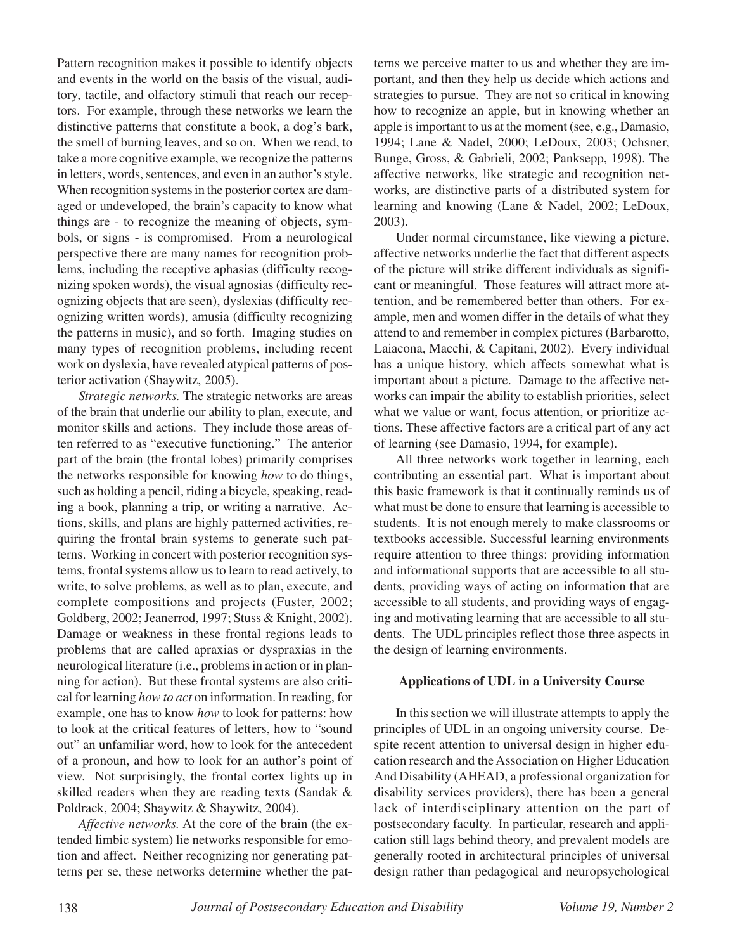Pattern recognition makes it possible to identify objects and events in the world on the basis of the visual, auditory, tactile, and olfactory stimuli that reach our receptors. For example, through these networks we learn the distinctive patterns that constitute a book, a dog's bark, the smell of burning leaves, and so on. When we read, to take a more cognitive example, we recognize the patterns in letters, words, sentences, and even in an author's style. When recognition systems in the posterior cortex are damaged or undeveloped, the brain's capacity to know what things are - to recognize the meaning of objects, symbols, or signs - is compromised. From a neurological perspective there are many names for recognition problems, including the receptive aphasias (difficulty recognizing spoken words), the visual agnosias (difficulty recognizing objects that are seen), dyslexias (difficulty recognizing written words), amusia (difficulty recognizing the patterns in music), and so forth. Imaging studies on many types of recognition problems, including recent work on dyslexia, have revealed atypical patterns of posterior activation (Shaywitz, 2005).

*Strategic networks.* The strategic networks are areas of the brain that underlie our ability to plan, execute, and monitor skills and actions. They include those areas often referred to as "executive functioning." The anterior part of the brain (the frontal lobes) primarily comprises the networks responsible for knowing *how* to do things, such as holding a pencil, riding a bicycle, speaking, reading a book, planning a trip, or writing a narrative. Actions, skills, and plans are highly patterned activities, requiring the frontal brain systems to generate such patterns. Working in concert with posterior recognition systems, frontal systems allow us to learn to read actively, to write, to solve problems, as well as to plan, execute, and complete compositions and projects (Fuster, 2002; Goldberg, 2002; Jeanerrod, 1997; Stuss & Knight, 2002). Damage or weakness in these frontal regions leads to problems that are called apraxias or dyspraxias in the neurological literature (i.e., problems in action or in planning for action). But these frontal systems are also critical for learning *how to act* on information. In reading, for example, one has to know *how* to look for patterns: how to look at the critical features of letters, how to "sound out" an unfamiliar word, how to look for the antecedent of a pronoun, and how to look for an author's point of view. Not surprisingly, the frontal cortex lights up in skilled readers when they are reading texts (Sandak & Poldrack, 2004; Shaywitz & Shaywitz, 2004).

*Affective networks.* At the core of the brain (the extended limbic system) lie networks responsible for emotion and affect. Neither recognizing nor generating patterns per se, these networks determine whether the patterns we perceive matter to us and whether they are important, and then they help us decide which actions and strategies to pursue. They are not so critical in knowing how to recognize an apple, but in knowing whether an apple is important to us at the moment (see, e.g., Damasio, 1994; Lane & Nadel, 2000; LeDoux, 2003; Ochsner, Bunge, Gross, & Gabrieli, 2002; Panksepp, 1998). The affective networks, like strategic and recognition networks, are distinctive parts of a distributed system for learning and knowing (Lane & Nadel, 2002; LeDoux, 2003).

Under normal circumstance, like viewing a picture, affective networks underlie the fact that different aspects of the picture will strike different individuals as significant or meaningful. Those features will attract more attention, and be remembered better than others. For example, men and women differ in the details of what they attend to and remember in complex pictures (Barbarotto, Laiacona, Macchi, & Capitani, 2002). Every individual has a unique history, which affects somewhat what is important about a picture. Damage to the affective networks can impair the ability to establish priorities, select what we value or want, focus attention, or prioritize actions. These affective factors are a critical part of any act of learning (see Damasio, 1994, for example).

All three networks work together in learning, each contributing an essential part. What is important about this basic framework is that it continually reminds us of what must be done to ensure that learning is accessible to students. It is not enough merely to make classrooms or textbooks accessible. Successful learning environments require attention to three things: providing information and informational supports that are accessible to all students, providing ways of acting on information that are accessible to all students, and providing ways of engaging and motivating learning that are accessible to all students. The UDL principles reflect those three aspects in the design of learning environments.

#### **Applications of UDL in a University Course**

In this section we will illustrate attempts to apply the principles of UDL in an ongoing university course. Despite recent attention to universal design in higher education research and the Association on Higher Education And Disability (AHEAD, a professional organization for disability services providers), there has been a general lack of interdisciplinary attention on the part of postsecondary faculty. In particular, research and application still lags behind theory, and prevalent models are generally rooted in architectural principles of universal design rather than pedagogical and neuropsychological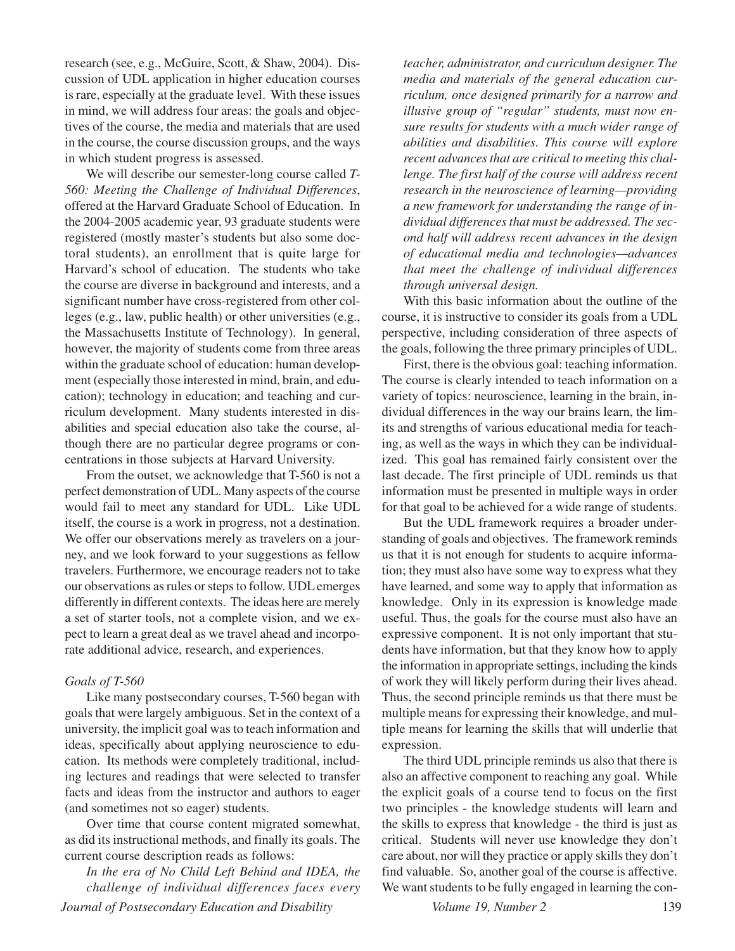research (see, e.g., McGuire, Scott, & Shaw, 2004). Discussion of UDL application in higher education courses is rare, especially at the graduate level. With these issues in mind, we will address four areas: the goals and objectives of the course, the media and materials that are used in the course, the course discussion groups, and the ways in which student progress is assessed.

We will describe our semester-long course called *T-560: Meeting the Challenge of Individual Differences*, offered at the Harvard Graduate School of Education. In the 2004-2005 academic year, 93 graduate students were registered (mostly master's students but also some doctoral students), an enrollment that is quite large for Harvard's school of education. The students who take the course are diverse in background and interests, and a significant number have cross-registered from other colleges (e.g., law, public health) or other universities (e.g., the Massachusetts Institute of Technology). In general, however, the majority of students come from three areas within the graduate school of education: human development (especially those interested in mind, brain, and education); technology in education; and teaching and curriculum development. Many students interested in disabilities and special education also take the course, although there are no particular degree programs or concentrations in those subjects at Harvard University.

From the outset, we acknowledge that T-560 is not a perfect demonstration of UDL. Many aspects of the course would fail to meet any standard for UDL. Like UDL itself, the course is a work in progress, not a destination. We offer our observations merely as travelers on a journey, and we look forward to your suggestions as fellow travelers. Furthermore, we encourage readers not to take our observations as rules or steps to follow. UDL emerges differently in different contexts. The ideas here are merely a set of starter tools, not a complete vision, and we expect to learn a great deal as we travel ahead and incorporate additional advice, research, and experiences.

#### *Goals of T-560*

Like many postsecondary courses, T-560 began with goals that were largely ambiguous. Set in the context of a university, the implicit goal was to teach information and ideas, specifically about applying neuroscience to education. Its methods were completely traditional, including lectures and readings that were selected to transfer facts and ideas from the instructor and authors to eager (and sometimes not so eager) students.

Over time that course content migrated somewhat, as did its instructional methods, and finally its goals. The current course description reads as follows:

*In the era of No Child Left Behind and IDEA, the challenge of individual differences faces every*

*Journal of Postsecondary Education and Disability Volume 19, Number 2* 139

*teacher, administrator, and curriculum designer. The media and materials of the general education curriculum, once designed primarily for a narrow and illusive group of "regular" students, must now ensure results for students with a much wider range of abilities and disabilities. This course will explore recent advances that are critical to meeting this challenge. The first half of the course will address recent research in the neuroscience of learning—providing a new framework for understanding the range of individual differences that must be addressed. The second half will address recent advances in the design of educational media and technologies—advances that meet the challenge of individual differences through universal design.*

With this basic information about the outline of the course, it is instructive to consider its goals from a UDL perspective, including consideration of three aspects of the goals, following the three primary principles of UDL.

First, there is the obvious goal: teaching information. The course is clearly intended to teach information on a variety of topics: neuroscience, learning in the brain, individual differences in the way our brains learn, the limits and strengths of various educational media for teaching, as well as the ways in which they can be individualized. This goal has remained fairly consistent over the last decade. The first principle of UDL reminds us that information must be presented in multiple ways in order for that goal to be achieved for a wide range of students.

But the UDL framework requires a broader understanding of goals and objectives. The framework reminds us that it is not enough for students to acquire information; they must also have some way to express what they have learned, and some way to apply that information as knowledge. Only in its expression is knowledge made useful. Thus, the goals for the course must also have an expressive component. It is not only important that students have information, but that they know how to apply the information in appropriate settings, including the kinds of work they will likely perform during their lives ahead. Thus, the second principle reminds us that there must be multiple means for expressing their knowledge, and multiple means for learning the skills that will underlie that expression.

The third UDL principle reminds us also that there is also an affective component to reaching any goal. While the explicit goals of a course tend to focus on the first two principles - the knowledge students will learn and the skills to express that knowledge - the third is just as critical. Students will never use knowledge they don't care about, nor will they practice or apply skills they don't find valuable. So, another goal of the course is affective. We want students to be fully engaged in learning the con-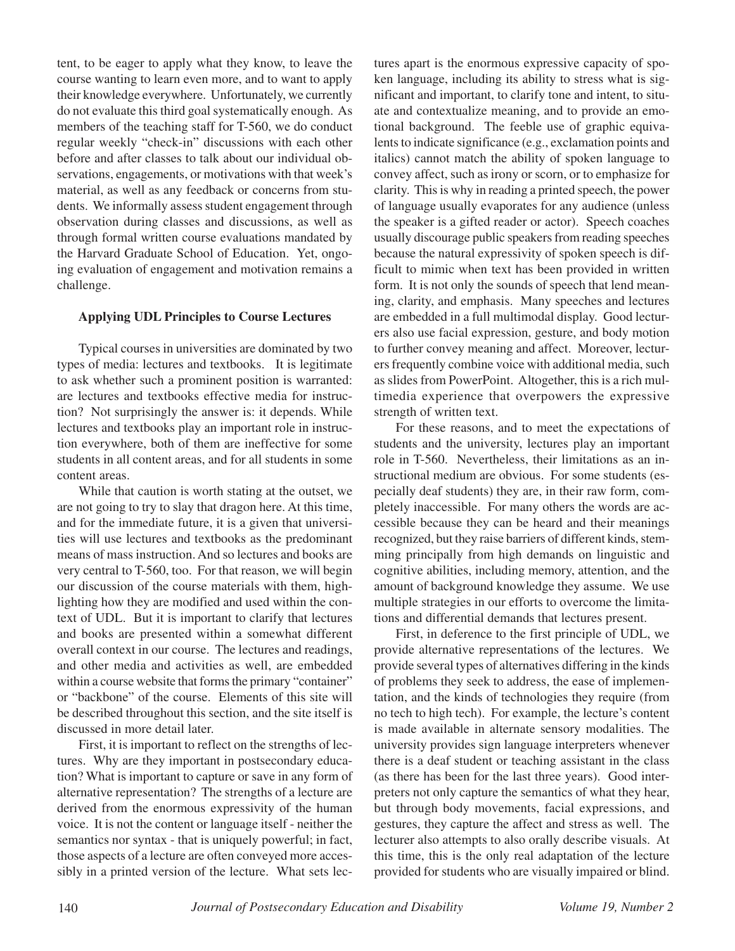tent, to be eager to apply what they know, to leave the course wanting to learn even more, and to want to apply their knowledge everywhere. Unfortunately, we currently do not evaluate this third goal systematically enough. As members of the teaching staff for T-560, we do conduct regular weekly "check-in" discussions with each other before and after classes to talk about our individual observations, engagements, or motivations with that week's material, as well as any feedback or concerns from students. We informally assess student engagement through observation during classes and discussions, as well as through formal written course evaluations mandated by the Harvard Graduate School of Education. Yet, ongoing evaluation of engagement and motivation remains a challenge.

# **Applying UDL Principles to Course Lectures**

Typical courses in universities are dominated by two types of media: lectures and textbooks. It is legitimate to ask whether such a prominent position is warranted: are lectures and textbooks effective media for instruction? Not surprisingly the answer is: it depends. While lectures and textbooks play an important role in instruction everywhere, both of them are ineffective for some students in all content areas, and for all students in some content areas.

While that caution is worth stating at the outset, we are not going to try to slay that dragon here. At this time, and for the immediate future, it is a given that universities will use lectures and textbooks as the predominant means of mass instruction. And so lectures and books are very central to T-560, too. For that reason, we will begin our discussion of the course materials with them, highlighting how they are modified and used within the context of UDL. But it is important to clarify that lectures and books are presented within a somewhat different overall context in our course. The lectures and readings, and other media and activities as well, are embedded within a course website that forms the primary "container" or "backbone" of the course. Elements of this site will be described throughout this section, and the site itself is discussed in more detail later.

First, it is important to reflect on the strengths of lectures. Why are they important in postsecondary education? What is important to capture or save in any form of alternative representation? The strengths of a lecture are derived from the enormous expressivity of the human voice. It is not the content or language itself - neither the semantics nor syntax - that is uniquely powerful; in fact, those aspects of a lecture are often conveyed more accessibly in a printed version of the lecture. What sets lectures apart is the enormous expressive capacity of spoken language, including its ability to stress what is significant and important, to clarify tone and intent, to situate and contextualize meaning, and to provide an emotional background. The feeble use of graphic equivalents to indicate significance (e.g., exclamation points and italics) cannot match the ability of spoken language to convey affect, such as irony or scorn, or to emphasize for clarity. This is why in reading a printed speech, the power of language usually evaporates for any audience (unless the speaker is a gifted reader or actor). Speech coaches usually discourage public speakers from reading speeches because the natural expressivity of spoken speech is difficult to mimic when text has been provided in written form. It is not only the sounds of speech that lend meaning, clarity, and emphasis. Many speeches and lectures are embedded in a full multimodal display. Good lecturers also use facial expression, gesture, and body motion to further convey meaning and affect. Moreover, lecturers frequently combine voice with additional media, such as slides from PowerPoint. Altogether, this is a rich multimedia experience that overpowers the expressive strength of written text.

For these reasons, and to meet the expectations of students and the university, lectures play an important role in T-560. Nevertheless, their limitations as an instructional medium are obvious. For some students (especially deaf students) they are, in their raw form, completely inaccessible. For many others the words are accessible because they can be heard and their meanings recognized, but they raise barriers of different kinds, stemming principally from high demands on linguistic and cognitive abilities, including memory, attention, and the amount of background knowledge they assume. We use multiple strategies in our efforts to overcome the limitations and differential demands that lectures present.

First, in deference to the first principle of UDL, we provide alternative representations of the lectures. We provide several types of alternatives differing in the kinds of problems they seek to address, the ease of implementation, and the kinds of technologies they require (from no tech to high tech). For example, the lecture's content is made available in alternate sensory modalities. The university provides sign language interpreters whenever there is a deaf student or teaching assistant in the class (as there has been for the last three years). Good interpreters not only capture the semantics of what they hear, but through body movements, facial expressions, and gestures, they capture the affect and stress as well. The lecturer also attempts to also orally describe visuals. At this time, this is the only real adaptation of the lecture provided for students who are visually impaired or blind.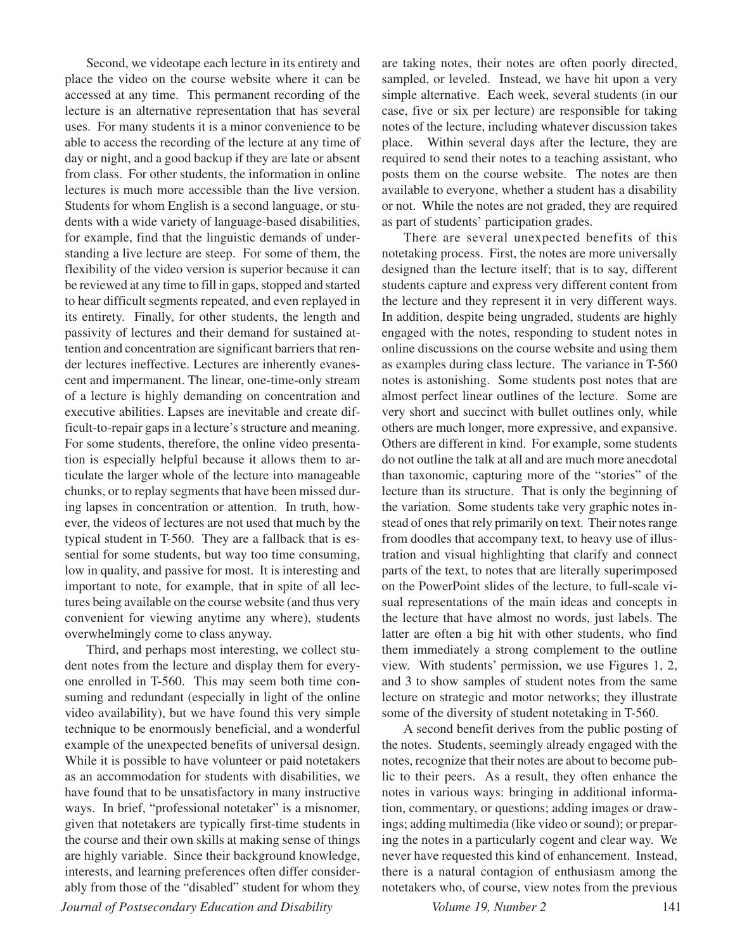Second, we videotape each lecture in its entirety and place the video on the course website where it can be accessed at any time. This permanent recording of the lecture is an alternative representation that has several uses. For many students it is a minor convenience to be able to access the recording of the lecture at any time of day or night, and a good backup if they are late or absent from class. For other students, the information in online lectures is much more accessible than the live version. Students for whom English is a second language, or students with a wide variety of language-based disabilities, for example, find that the linguistic demands of understanding a live lecture are steep. For some of them, the flexibility of the video version is superior because it can be reviewed at any time to fill in gaps, stopped and started to hear difficult segments repeated, and even replayed in its entirety. Finally, for other students, the length and passivity of lectures and their demand for sustained attention and concentration are significant barriers that render lectures ineffective. Lectures are inherently evanescent and impermanent. The linear, one-time-only stream of a lecture is highly demanding on concentration and executive abilities. Lapses are inevitable and create difficult-to-repair gaps in a lecture's structure and meaning. For some students, therefore, the online video presentation is especially helpful because it allows them to articulate the larger whole of the lecture into manageable chunks, or to replay segments that have been missed during lapses in concentration or attention. In truth, however, the videos of lectures are not used that much by the typical student in T-560. They are a fallback that is essential for some students, but way too time consuming, low in quality, and passive for most. It is interesting and important to note, for example, that in spite of all lectures being available on the course website (and thus very convenient for viewing anytime any where), students overwhelmingly come to class anyway.

Third, and perhaps most interesting, we collect student notes from the lecture and display them for everyone enrolled in T-560. This may seem both time consuming and redundant (especially in light of the online video availability), but we have found this very simple technique to be enormously beneficial, and a wonderful example of the unexpected benefits of universal design. While it is possible to have volunteer or paid notetakers as an accommodation for students with disabilities, we have found that to be unsatisfactory in many instructive ways. In brief, "professional notetaker" is a misnomer, given that notetakers are typically first-time students in the course and their own skills at making sense of things are highly variable. Since their background knowledge, interests, and learning preferences often differ considerably from those of the "disabled" student for whom they

are taking notes, their notes are often poorly directed, sampled, or leveled. Instead, we have hit upon a very simple alternative. Each week, several students (in our case, five or six per lecture) are responsible for taking notes of the lecture, including whatever discussion takes place. Within several days after the lecture, they are required to send their notes to a teaching assistant, who posts them on the course website. The notes are then available to everyone, whether a student has a disability or not. While the notes are not graded, they are required as part of students' participation grades.

There are several unexpected benefits of this notetaking process. First, the notes are more universally designed than the lecture itself; that is to say, different students capture and express very different content from the lecture and they represent it in very different ways. In addition, despite being ungraded, students are highly engaged with the notes, responding to student notes in online discussions on the course website and using them as examples during class lecture. The variance in T-560 notes is astonishing. Some students post notes that are almost perfect linear outlines of the lecture. Some are very short and succinct with bullet outlines only, while others are much longer, more expressive, and expansive. Others are different in kind. For example, some students do not outline the talk at all and are much more anecdotal than taxonomic, capturing more of the "stories" of the lecture than its structure. That is only the beginning of the variation. Some students take very graphic notes instead of ones that rely primarily on text. Their notes range from doodles that accompany text, to heavy use of illustration and visual highlighting that clarify and connect parts of the text, to notes that are literally superimposed on the PowerPoint slides of the lecture, to full-scale visual representations of the main ideas and concepts in the lecture that have almost no words, just labels. The latter are often a big hit with other students, who find them immediately a strong complement to the outline view. With students' permission, we use Figures 1, 2, and 3 to show samples of student notes from the same lecture on strategic and motor networks; they illustrate some of the diversity of student notetaking in T-560.

A second benefit derives from the public posting of the notes. Students, seemingly already engaged with the notes, recognize that their notes are about to become public to their peers. As a result, they often enhance the notes in various ways: bringing in additional information, commentary, or questions; adding images or drawings; adding multimedia (like video or sound); or preparing the notes in a particularly cogent and clear way. We never have requested this kind of enhancement. Instead, there is a natural contagion of enthusiasm among the notetakers who, of course, view notes from the previous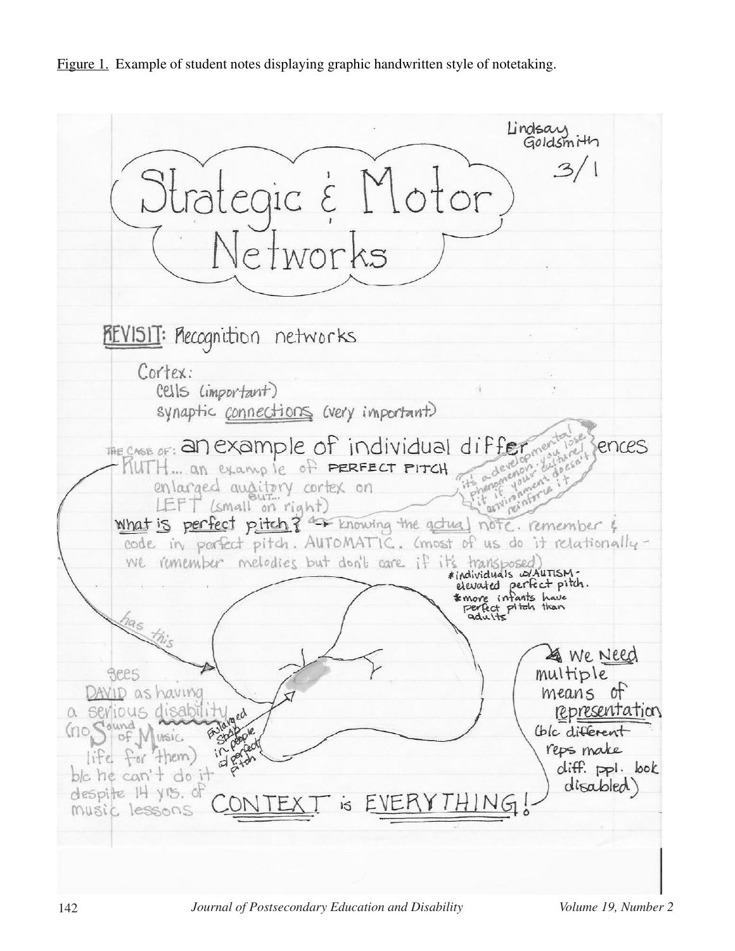

Lindsay<br>Goldsmith  $3/1$ Strategic & Motor **REVISIT:** Precognition networks Cortex: Cells (important) synaptic connections (very important) THE CASE OF: an example of individual different ences enlarged auditory cortex on<br>LEFT (small on right) what is perfect pitch? are knowing the actual note. remember & code in perfect pitch. AUTOMATIC. (most of us do it relationallythe remember melodies but don't care if it's transposed)<br>we remember melodies but don't care if it's transposed)<br>elevated perfect pitch.<br>Eas & We Need multiple **ACCS** means of DAVID as having a sevious disabilit representation Sound Music Oblc different  $(no)$ reps make life for them)  $diff.$   $pp1.$   $look$ b/c he can't do it disabled) despite 14 yrs. of is EVERYTHING! TEXT music lessons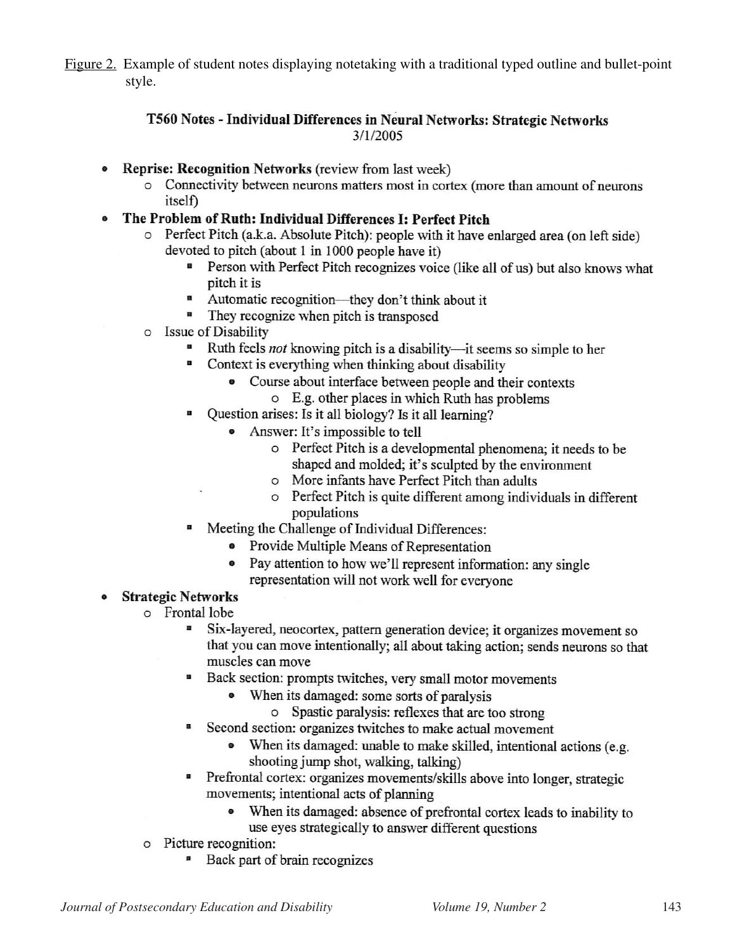Figure 2.Example of student notes displaying notetaking with a traditional typed outline and bullet-point style.

# T560 Notes - Individual Differences in Neural Networks: Strategic Networks 3/1/2005

- **Reprise: Recognition Networks (review from last week)**  $\bullet$ 
	- o Connectivity between neurons matters most in cortex (more than amount of neurons itself
- The Problem of Ruth: Individual Differences I: Perfect Pitch
	- o Perfect Pitch (a.k.a. Absolute Pitch): people with it have enlarged area (on left side) devoted to pitch (about 1 in 1000 people have it)
		- Person with Perfect Pitch recognizes voice (like all of us) but also knows what pitch it is
		- Automatic recognition-they don't think about it  $\mathbf{u}$
		- " They recognize when pitch is transposed
	- o Issue of Disability
		- Ruth feels not knowing pitch is a disability-it seems so simple to her
		- Context is everything when thinking about disability
			- Course about interface between people and their contexts
			- o E.g. other places in which Ruth has problems
			- Question arises: Is it all biology? Is it all learning?
				- Answer: It's impossible to tell
					- o Perfect Pitch is a developmental phenomena; it needs to be shaped and molded; it's sculpted by the environment
					- o More infants have Perfect Pitch than adults
					- o Perfect Pitch is quite different among individuals in different populations
		- " Meeting the Challenge of Individual Differences:
			- Provide Multiple Means of Representation
			- Pay attention to how we'll represent information: any single representation will not work well for everyone

# **•** Strategic Networks

- o Frontal lobe
	- $\mathbf{u}$ Six-layered, neocortex, pattern generation device; it organizes movement so that you can move intentionally; all about taking action; sends neurons so that muscles can move
	- $\blacksquare$ Back section: prompts twitches, very small motor movements
		- When its damaged: some sorts of paralysis
			- o Spastic paralysis: reflexes that are too strong
	- Second section: organizes twitches to make actual movement
		- When its damaged: unable to make skilled, intentional actions (e.g.  $\bullet$ shooting jump shot, walking, talking)
	- Prefrontal cortex: organizes movements/skills above into longer, strategic . movements; intentional acts of planning
		- When its damaged: absence of prefrontal cortex leads to inability to use eyes strategically to answer different questions
- o Picture recognition:
	- **Back part of brain recognizes**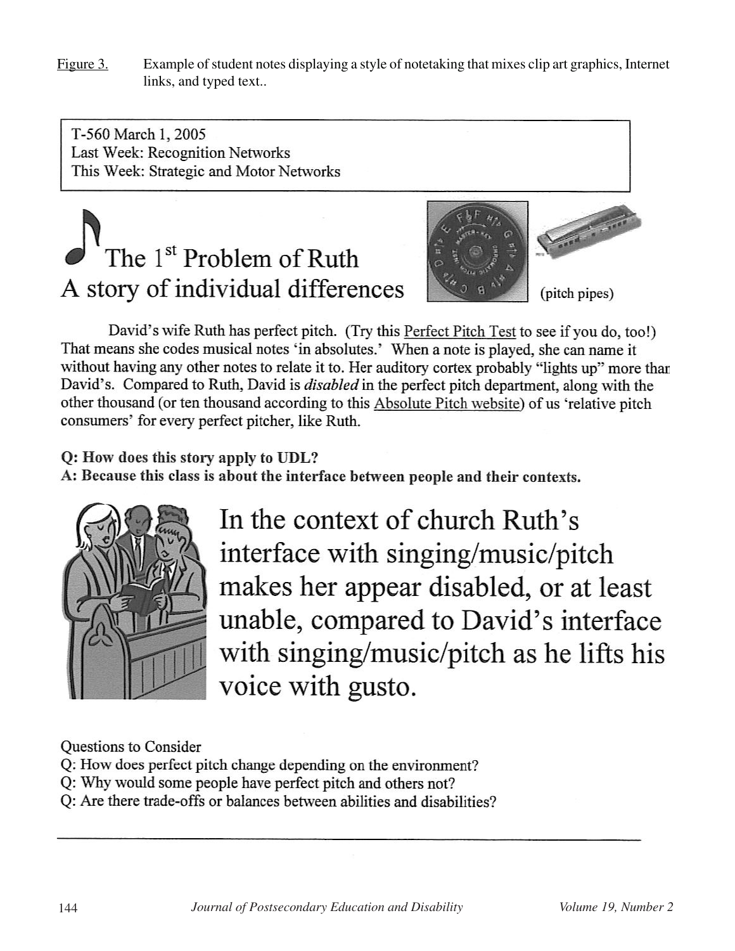Figure 3. Example of student notes displaying a style of notetaking that mixes clip art graphics, Internet links, and typed text..

T-560 March 1, 2005 Last Week: Recognition Networks This Week: Strategic and Motor Networks

# The 1<sup>st</sup> Problem of Ruth A story of individual differences



(pitch pipes)

David's wife Ruth has perfect pitch. (Try this Perfect Pitch Test to see if you do, too!) That means she codes musical notes 'in absolutes.' When a note is played, she can name it without having any other notes to relate it to. Her auditory cortex probably "lights up" more than David's. Compared to Ruth, David is *disabled* in the perfect pitch department, along with the other thousand (or ten thousand according to this Absolute Pitch website) of us 'relative pitch consumers' for every perfect pitcher, like Ruth.

# Q: How does this story apply to UDL?

A: Because this class is about the interface between people and their contexts.



In the context of church Ruth's interface with singing/music/pitch makes her appear disabled, or at least unable, compared to David's interface with singing/music/pitch as he lifts his voice with gusto.

Questions to Consider

- Q: How does perfect pitch change depending on the environment?
- Q: Why would some people have perfect pitch and others not?
- Q: Are there trade-offs or balances between abilities and disabilities?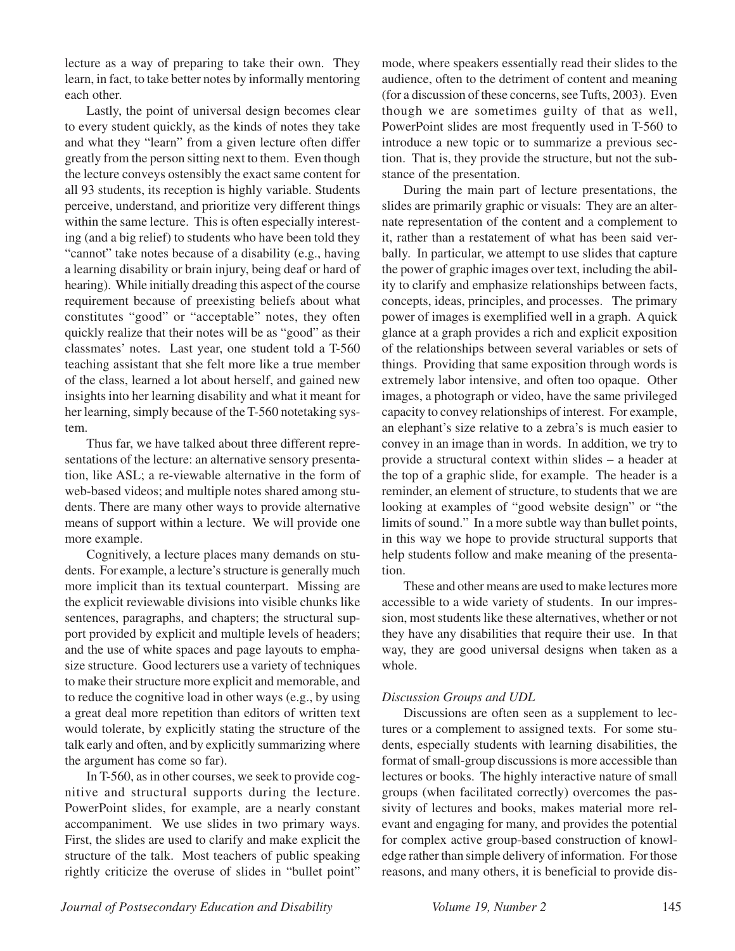lecture as a way of preparing to take their own. They learn, in fact, to take better notes by informally mentoring each other.

Lastly, the point of universal design becomes clear to every student quickly, as the kinds of notes they take and what they "learn" from a given lecture often differ greatly from the person sitting next to them. Even though the lecture conveys ostensibly the exact same content for all 93 students, its reception is highly variable. Students perceive, understand, and prioritize very different things within the same lecture. This is often especially interesting (and a big relief) to students who have been told they "cannot" take notes because of a disability (e.g., having a learning disability or brain injury, being deaf or hard of hearing). While initially dreading this aspect of the course requirement because of preexisting beliefs about what constitutes "good" or "acceptable" notes, they often quickly realize that their notes will be as "good" as their classmates' notes. Last year, one student told a T-560 teaching assistant that she felt more like a true member of the class, learned a lot about herself, and gained new insights into her learning disability and what it meant for her learning, simply because of the T-560 notetaking system.

Thus far, we have talked about three different representations of the lecture: an alternative sensory presentation, like ASL; a re-viewable alternative in the form of web-based videos; and multiple notes shared among students. There are many other ways to provide alternative means of support within a lecture. We will provide one more example.

Cognitively, a lecture places many demands on students. For example, a lecture's structure is generally much more implicit than its textual counterpart. Missing are the explicit reviewable divisions into visible chunks like sentences, paragraphs, and chapters; the structural support provided by explicit and multiple levels of headers; and the use of white spaces and page layouts to emphasize structure. Good lecturers use a variety of techniques to make their structure more explicit and memorable, and to reduce the cognitive load in other ways (e.g., by using a great deal more repetition than editors of written text would tolerate, by explicitly stating the structure of the talk early and often, and by explicitly summarizing where the argument has come so far).

In T-560, as in other courses, we seek to provide cognitive and structural supports during the lecture. PowerPoint slides, for example, are a nearly constant accompaniment. We use slides in two primary ways. First, the slides are used to clarify and make explicit the structure of the talk. Most teachers of public speaking rightly criticize the overuse of slides in "bullet point"

mode, where speakers essentially read their slides to the audience, often to the detriment of content and meaning (for a discussion of these concerns, see Tufts, 2003). Even though we are sometimes guilty of that as well, PowerPoint slides are most frequently used in T-560 to introduce a new topic or to summarize a previous section. That is, they provide the structure, but not the substance of the presentation.

During the main part of lecture presentations, the slides are primarily graphic or visuals: They are an alternate representation of the content and a complement to it, rather than a restatement of what has been said verbally. In particular, we attempt to use slides that capture the power of graphic images over text, including the ability to clarify and emphasize relationships between facts, concepts, ideas, principles, and processes. The primary power of images is exemplified well in a graph. A quick glance at a graph provides a rich and explicit exposition of the relationships between several variables or sets of things. Providing that same exposition through words is extremely labor intensive, and often too opaque. Other images, a photograph or video, have the same privileged capacity to convey relationships of interest. For example, an elephant's size relative to a zebra's is much easier to convey in an image than in words. In addition, we try to provide a structural context within slides – a header at the top of a graphic slide, for example. The header is a reminder, an element of structure, to students that we are looking at examples of "good website design" or "the limits of sound." In a more subtle way than bullet points, in this way we hope to provide structural supports that help students follow and make meaning of the presentation.

These and other means are used to make lectures more accessible to a wide variety of students. In our impression, most students like these alternatives, whether or not they have any disabilities that require their use. In that way, they are good universal designs when taken as a whole.

# *Discussion Groups and UDL*

Discussions are often seen as a supplement to lectures or a complement to assigned texts. For some students, especially students with learning disabilities, the format of small-group discussions is more accessible than lectures or books. The highly interactive nature of small groups (when facilitated correctly) overcomes the passivity of lectures and books, makes material more relevant and engaging for many, and provides the potential for complex active group-based construction of knowledge rather than simple delivery of information. For those reasons, and many others, it is beneficial to provide dis-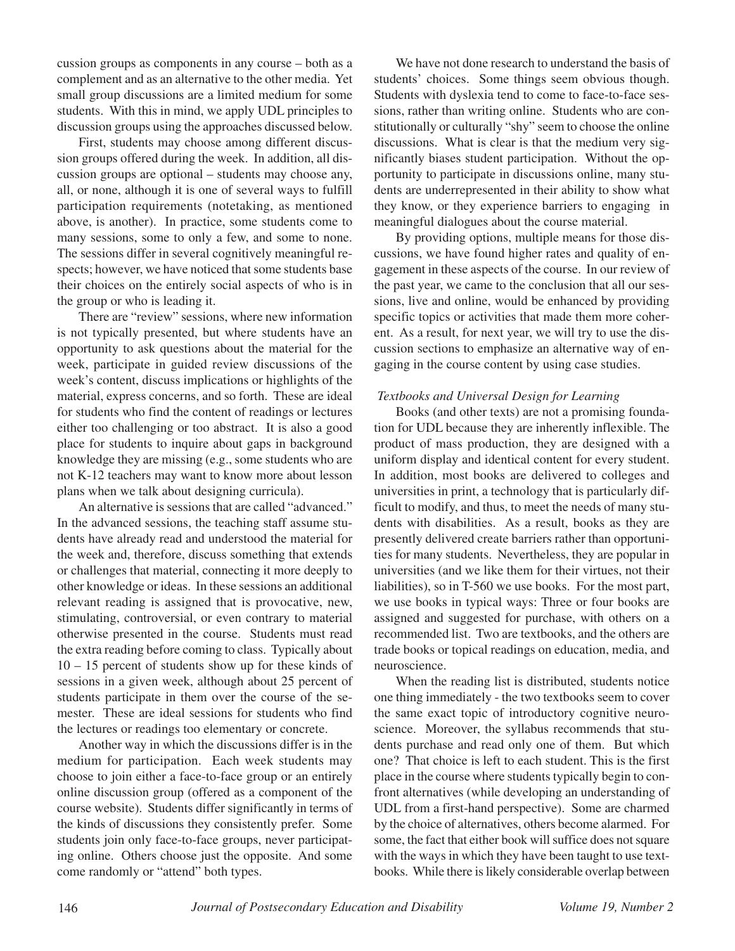cussion groups as components in any course – both as a complement and as an alternative to the other media. Yet small group discussions are a limited medium for some students. With this in mind, we apply UDL principles to discussion groups using the approaches discussed below.

First, students may choose among different discussion groups offered during the week. In addition, all discussion groups are optional – students may choose any, all, or none, although it is one of several ways to fulfill participation requirements (notetaking, as mentioned above, is another). In practice, some students come to many sessions, some to only a few, and some to none. The sessions differ in several cognitively meaningful respects; however, we have noticed that some students base their choices on the entirely social aspects of who is in the group or who is leading it.

There are "review" sessions, where new information is not typically presented, but where students have an opportunity to ask questions about the material for the week, participate in guided review discussions of the week's content, discuss implications or highlights of the material, express concerns, and so forth. These are ideal for students who find the content of readings or lectures either too challenging or too abstract. It is also a good place for students to inquire about gaps in background knowledge they are missing (e.g., some students who are not K-12 teachers may want to know more about lesson plans when we talk about designing curricula).

An alternative is sessions that are called "advanced." In the advanced sessions, the teaching staff assume students have already read and understood the material for the week and, therefore, discuss something that extends or challenges that material, connecting it more deeply to other knowledge or ideas. In these sessions an additional relevant reading is assigned that is provocative, new, stimulating, controversial, or even contrary to material otherwise presented in the course. Students must read the extra reading before coming to class. Typically about 10 – 15 percent of students show up for these kinds of sessions in a given week, although about 25 percent of students participate in them over the course of the semester. These are ideal sessions for students who find the lectures or readings too elementary or concrete.

Another way in which the discussions differ is in the medium for participation. Each week students may choose to join either a face-to-face group or an entirely online discussion group (offered as a component of the course website). Students differ significantly in terms of the kinds of discussions they consistently prefer. Some students join only face-to-face groups, never participating online. Others choose just the opposite. And some come randomly or "attend" both types.

We have not done research to understand the basis of students' choices. Some things seem obvious though. Students with dyslexia tend to come to face-to-face sessions, rather than writing online. Students who are constitutionally or culturally "shy" seem to choose the online discussions. What is clear is that the medium very significantly biases student participation. Without the opportunity to participate in discussions online, many students are underrepresented in their ability to show what they know, or they experience barriers to engaging in meaningful dialogues about the course material.

By providing options, multiple means for those discussions, we have found higher rates and quality of engagement in these aspects of the course. In our review of the past year, we came to the conclusion that all our sessions, live and online, would be enhanced by providing specific topics or activities that made them more coherent. As a result, for next year, we will try to use the discussion sections to emphasize an alternative way of engaging in the course content by using case studies.

#### *Textbooks and Universal Design for Learning*

Books (and other texts) are not a promising foundation for UDL because they are inherently inflexible. The product of mass production, they are designed with a uniform display and identical content for every student. In addition, most books are delivered to colleges and universities in print, a technology that is particularly difficult to modify, and thus, to meet the needs of many students with disabilities. As a result, books as they are presently delivered create barriers rather than opportunities for many students. Nevertheless, they are popular in universities (and we like them for their virtues, not their liabilities), so in T-560 we use books. For the most part, we use books in typical ways: Three or four books are assigned and suggested for purchase, with others on a recommended list. Two are textbooks, and the others are trade books or topical readings on education, media, and neuroscience.

When the reading list is distributed, students notice one thing immediately - the two textbooks seem to cover the same exact topic of introductory cognitive neuroscience. Moreover, the syllabus recommends that students purchase and read only one of them. But which one? That choice is left to each student. This is the first place in the course where students typically begin to confront alternatives (while developing an understanding of UDL from a first-hand perspective). Some are charmed by the choice of alternatives, others become alarmed. For some, the fact that either book will suffice does not square with the ways in which they have been taught to use textbooks. While there is likely considerable overlap between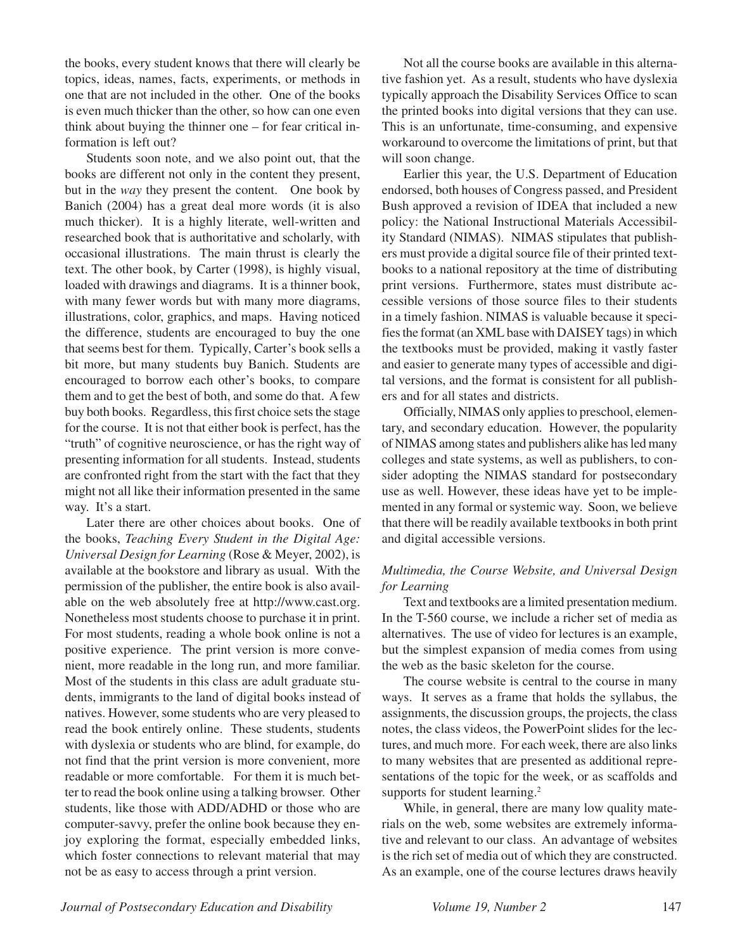the books, every student knows that there will clearly be topics, ideas, names, facts, experiments, or methods in one that are not included in the other. One of the books is even much thicker than the other, so how can one even think about buying the thinner one – for fear critical information is left out?

Students soon note, and we also point out, that the books are different not only in the content they present, but in the *way* they present the content. One book by Banich (2004) has a great deal more words (it is also much thicker). It is a highly literate, well-written and researched book that is authoritative and scholarly, with occasional illustrations. The main thrust is clearly the text. The other book, by Carter (1998), is highly visual, loaded with drawings and diagrams. It is a thinner book, with many fewer words but with many more diagrams, illustrations, color, graphics, and maps. Having noticed the difference, students are encouraged to buy the one that seems best for them. Typically, Carter's book sells a bit more, but many students buy Banich. Students are encouraged to borrow each other's books, to compare them and to get the best of both, and some do that. A few buy both books. Regardless, this first choice sets the stage for the course. It is not that either book is perfect, has the "truth" of cognitive neuroscience, or has the right way of presenting information for all students. Instead, students are confronted right from the start with the fact that they might not all like their information presented in the same way. It's a start.

Later there are other choices about books. One of the books, *Teaching Every Student in the Digital Age: Universal Design for Learning* (Rose & Meyer, 2002), is available at the bookstore and library as usual. With the permission of the publisher, the entire book is also available on the web absolutely free at http://www.cast.org. Nonetheless most students choose to purchase it in print. For most students, reading a whole book online is not a positive experience. The print version is more convenient, more readable in the long run, and more familiar. Most of the students in this class are adult graduate students, immigrants to the land of digital books instead of natives. However, some students who are very pleased to read the book entirely online. These students, students with dyslexia or students who are blind, for example, do not find that the print version is more convenient, more readable or more comfortable. For them it is much better to read the book online using a talking browser. Other students, like those with ADD/ADHD or those who are computer-savvy, prefer the online book because they enjoy exploring the format, especially embedded links, which foster connections to relevant material that may not be as easy to access through a print version.

Not all the course books are available in this alternative fashion yet. As a result, students who have dyslexia typically approach the Disability Services Office to scan the printed books into digital versions that they can use. This is an unfortunate, time-consuming, and expensive workaround to overcome the limitations of print, but that will soon change.

Earlier this year, the U.S. Department of Education endorsed, both houses of Congress passed, and President Bush approved a revision of IDEA that included a new policy: the National Instructional Materials Accessibility Standard (NIMAS). NIMAS stipulates that publishers must provide a digital source file of their printed textbooks to a national repository at the time of distributing print versions. Furthermore, states must distribute accessible versions of those source files to their students in a timely fashion. NIMAS is valuable because it specifies the format (an XML base with DAISEY tags) in which the textbooks must be provided, making it vastly faster and easier to generate many types of accessible and digital versions, and the format is consistent for all publishers and for all states and districts.

Officially, NIMAS only applies to preschool, elementary, and secondary education. However, the popularity of NIMAS among states and publishers alike has led many colleges and state systems, as well as publishers, to consider adopting the NIMAS standard for postsecondary use as well. However, these ideas have yet to be implemented in any formal or systemic way. Soon, we believe that there will be readily available textbooks in both print and digital accessible versions.

# *Multimedia, the Course Website, and Universal Design for Learning*

Text and textbooks are a limited presentation medium. In the T-560 course, we include a richer set of media as alternatives. The use of video for lectures is an example, but the simplest expansion of media comes from using the web as the basic skeleton for the course.

The course website is central to the course in many ways. It serves as a frame that holds the syllabus, the assignments, the discussion groups, the projects, the class notes, the class videos, the PowerPoint slides for the lectures, and much more. For each week, there are also links to many websites that are presented as additional representations of the topic for the week, or as scaffolds and supports for student learning.<sup>2</sup>

While, in general, there are many low quality materials on the web, some websites are extremely informative and relevant to our class. An advantage of websites is the rich set of media out of which they are constructed. As an example, one of the course lectures draws heavily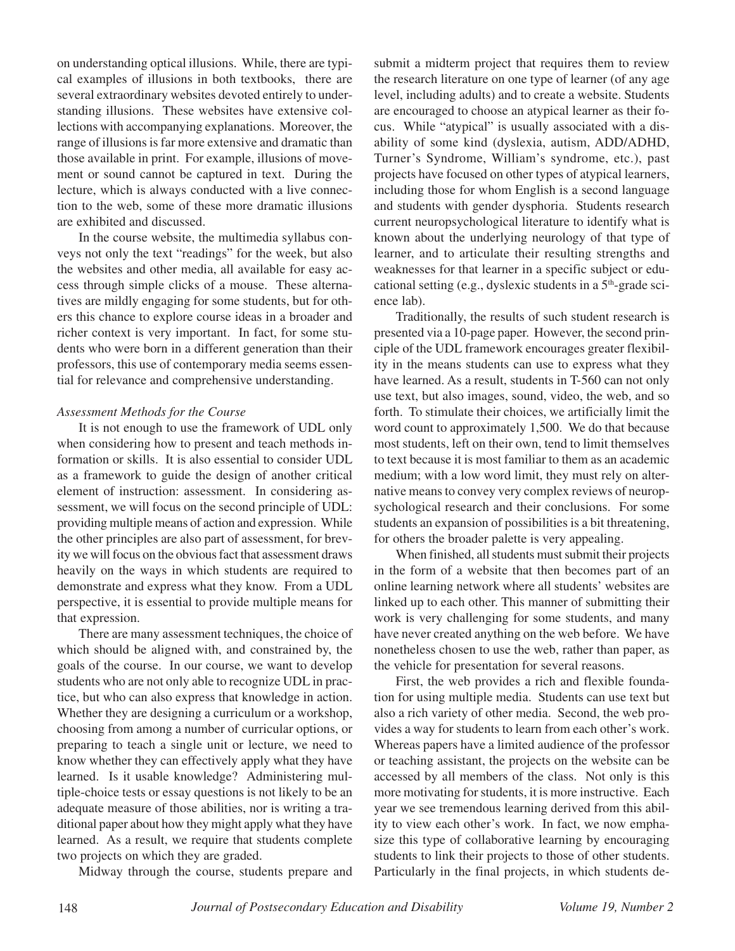on understanding optical illusions. While, there are typical examples of illusions in both textbooks, there are several extraordinary websites devoted entirely to understanding illusions. These websites have extensive collections with accompanying explanations. Moreover, the range of illusions is far more extensive and dramatic than those available in print. For example, illusions of movement or sound cannot be captured in text. During the lecture, which is always conducted with a live connection to the web, some of these more dramatic illusions are exhibited and discussed.

In the course website, the multimedia syllabus conveys not only the text "readings" for the week, but also the websites and other media, all available for easy access through simple clicks of a mouse. These alternatives are mildly engaging for some students, but for others this chance to explore course ideas in a broader and richer context is very important. In fact, for some students who were born in a different generation than their professors, this use of contemporary media seems essential for relevance and comprehensive understanding.

## *Assessment Methods for the Course*

It is not enough to use the framework of UDL only when considering how to present and teach methods information or skills. It is also essential to consider UDL as a framework to guide the design of another critical element of instruction: assessment. In considering assessment, we will focus on the second principle of UDL: providing multiple means of action and expression. While the other principles are also part of assessment, for brevity we will focus on the obvious fact that assessment draws heavily on the ways in which students are required to demonstrate and express what they know. From a UDL perspective, it is essential to provide multiple means for that expression.

There are many assessment techniques, the choice of which should be aligned with, and constrained by, the goals of the course. In our course, we want to develop students who are not only able to recognize UDL in practice, but who can also express that knowledge in action. Whether they are designing a curriculum or a workshop, choosing from among a number of curricular options, or preparing to teach a single unit or lecture, we need to know whether they can effectively apply what they have learned. Is it usable knowledge? Administering multiple-choice tests or essay questions is not likely to be an adequate measure of those abilities, nor is writing a traditional paper about how they might apply what they have learned. As a result, we require that students complete two projects on which they are graded.

Midway through the course, students prepare and

submit a midterm project that requires them to review the research literature on one type of learner (of any age level, including adults) and to create a website. Students are encouraged to choose an atypical learner as their focus. While "atypical" is usually associated with a disability of some kind (dyslexia, autism, ADD/ADHD, Turner's Syndrome, William's syndrome, etc.), past projects have focused on other types of atypical learners, including those for whom English is a second language and students with gender dysphoria. Students research current neuropsychological literature to identify what is known about the underlying neurology of that type of learner, and to articulate their resulting strengths and weaknesses for that learner in a specific subject or educational setting (e.g., dyslexic students in a  $5<sup>th</sup>$ -grade science lab).

Traditionally, the results of such student research is presented via a 10-page paper. However, the second principle of the UDL framework encourages greater flexibility in the means students can use to express what they have learned. As a result, students in T-560 can not only use text, but also images, sound, video, the web, and so forth. To stimulate their choices, we artificially limit the word count to approximately 1,500. We do that because most students, left on their own, tend to limit themselves to text because it is most familiar to them as an academic medium; with a low word limit, they must rely on alternative means to convey very complex reviews of neuropsychological research and their conclusions. For some students an expansion of possibilities is a bit threatening, for others the broader palette is very appealing.

When finished, all students must submit their projects in the form of a website that then becomes part of an online learning network where all students' websites are linked up to each other. This manner of submitting their work is very challenging for some students, and many have never created anything on the web before. We have nonetheless chosen to use the web, rather than paper, as the vehicle for presentation for several reasons.

First, the web provides a rich and flexible foundation for using multiple media. Students can use text but also a rich variety of other media. Second, the web provides a way for students to learn from each other's work. Whereas papers have a limited audience of the professor or teaching assistant, the projects on the website can be accessed by all members of the class. Not only is this more motivating for students, it is more instructive. Each year we see tremendous learning derived from this ability to view each other's work. In fact, we now emphasize this type of collaborative learning by encouraging students to link their projects to those of other students. Particularly in the final projects, in which students de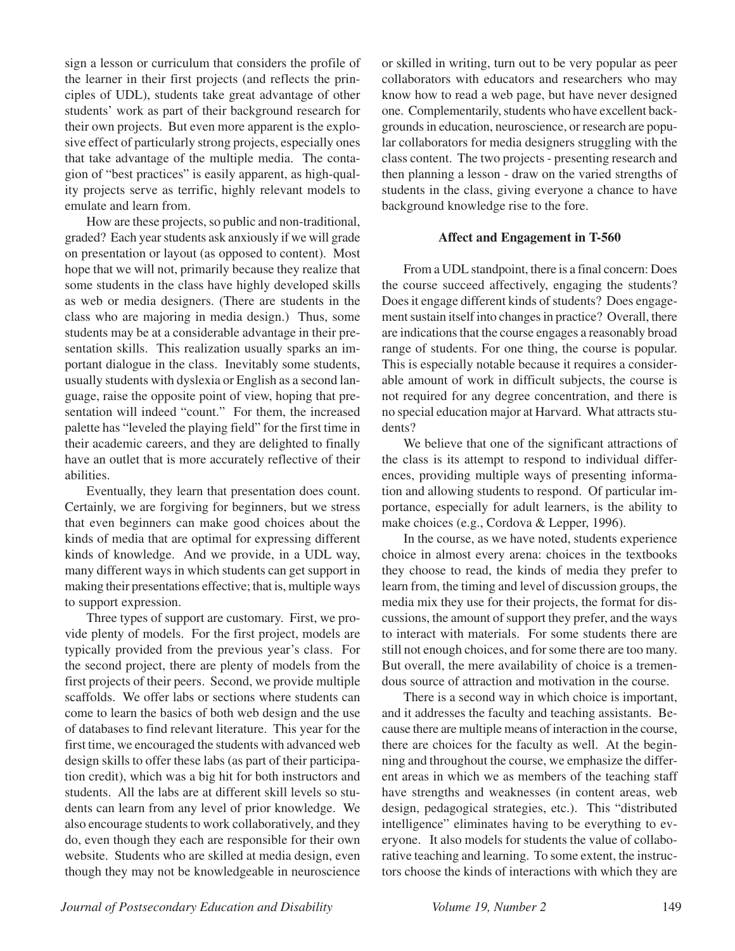sign a lesson or curriculum that considers the profile of the learner in their first projects (and reflects the principles of UDL), students take great advantage of other students' work as part of their background research for their own projects. But even more apparent is the explosive effect of particularly strong projects, especially ones that take advantage of the multiple media. The contagion of "best practices" is easily apparent, as high-quality projects serve as terrific, highly relevant models to emulate and learn from.

How are these projects, so public and non-traditional, graded? Each year students ask anxiously if we will grade on presentation or layout (as opposed to content). Most hope that we will not, primarily because they realize that some students in the class have highly developed skills as web or media designers. (There are students in the class who are majoring in media design.) Thus, some students may be at a considerable advantage in their presentation skills. This realization usually sparks an important dialogue in the class. Inevitably some students, usually students with dyslexia or English as a second language, raise the opposite point of view, hoping that presentation will indeed "count." For them, the increased palette has "leveled the playing field" for the first time in their academic careers, and they are delighted to finally have an outlet that is more accurately reflective of their abilities.

Eventually, they learn that presentation does count. Certainly, we are forgiving for beginners, but we stress that even beginners can make good choices about the kinds of media that are optimal for expressing different kinds of knowledge. And we provide, in a UDL way, many different ways in which students can get support in making their presentations effective; that is, multiple ways to support expression.

Three types of support are customary. First, we provide plenty of models. For the first project, models are typically provided from the previous year's class. For the second project, there are plenty of models from the first projects of their peers. Second, we provide multiple scaffolds. We offer labs or sections where students can come to learn the basics of both web design and the use of databases to find relevant literature. This year for the first time, we encouraged the students with advanced web design skills to offer these labs (as part of their participation credit), which was a big hit for both instructors and students. All the labs are at different skill levels so students can learn from any level of prior knowledge. We also encourage students to work collaboratively, and they do, even though they each are responsible for their own website. Students who are skilled at media design, even though they may not be knowledgeable in neuroscience

or skilled in writing, turn out to be very popular as peer collaborators with educators and researchers who may know how to read a web page, but have never designed one. Complementarily, students who have excellent backgrounds in education, neuroscience, or research are popular collaborators for media designers struggling with the class content. The two projects - presenting research and then planning a lesson - draw on the varied strengths of students in the class, giving everyone a chance to have background knowledge rise to the fore.

# **Affect and Engagement in T-560**

From a UDL standpoint, there is a final concern: Does the course succeed affectively, engaging the students? Does it engage different kinds of students? Does engagement sustain itself into changes in practice? Overall, there are indications that the course engages a reasonably broad range of students. For one thing, the course is popular. This is especially notable because it requires a considerable amount of work in difficult subjects, the course is not required for any degree concentration, and there is no special education major at Harvard. What attracts students?

We believe that one of the significant attractions of the class is its attempt to respond to individual differences, providing multiple ways of presenting information and allowing students to respond. Of particular importance, especially for adult learners, is the ability to make choices (e.g., Cordova & Lepper, 1996).

In the course, as we have noted, students experience choice in almost every arena: choices in the textbooks they choose to read, the kinds of media they prefer to learn from, the timing and level of discussion groups, the media mix they use for their projects, the format for discussions, the amount of support they prefer, and the ways to interact with materials. For some students there are still not enough choices, and for some there are too many. But overall, the mere availability of choice is a tremendous source of attraction and motivation in the course.

There is a second way in which choice is important, and it addresses the faculty and teaching assistants. Because there are multiple means of interaction in the course, there are choices for the faculty as well. At the beginning and throughout the course, we emphasize the different areas in which we as members of the teaching staff have strengths and weaknesses (in content areas, web design, pedagogical strategies, etc.). This "distributed intelligence" eliminates having to be everything to everyone. It also models for students the value of collaborative teaching and learning. To some extent, the instructors choose the kinds of interactions with which they are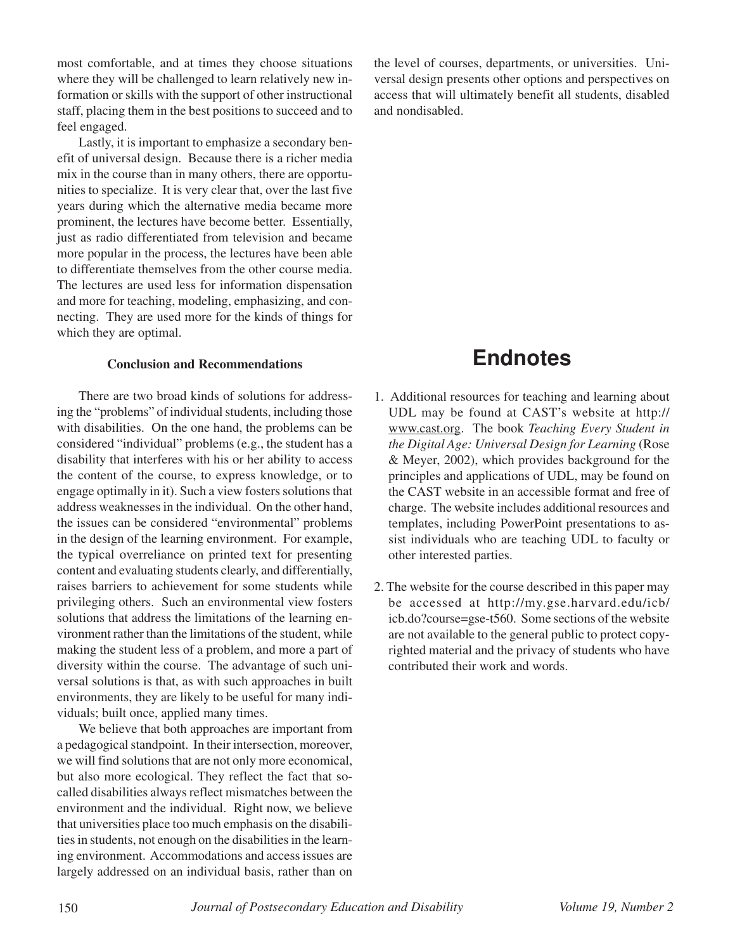most comfortable, and at times they choose situations where they will be challenged to learn relatively new information or skills with the support of other instructional staff, placing them in the best positions to succeed and to feel engaged.

Lastly, it is important to emphasize a secondary benefit of universal design. Because there is a richer media mix in the course than in many others, there are opportunities to specialize. It is very clear that, over the last five years during which the alternative media became more prominent, the lectures have become better. Essentially, just as radio differentiated from television and became more popular in the process, the lectures have been able to differentiate themselves from the other course media. The lectures are used less for information dispensation and more for teaching, modeling, emphasizing, and connecting. They are used more for the kinds of things for which they are optimal.

## **Conclusion and Recommendations**

There are two broad kinds of solutions for addressing the "problems" of individual students, including those with disabilities. On the one hand, the problems can be considered "individual" problems (e.g., the student has a disability that interferes with his or her ability to access the content of the course, to express knowledge, or to engage optimally in it). Such a view fosters solutions that address weaknesses in the individual. On the other hand, the issues can be considered "environmental" problems in the design of the learning environment. For example, the typical overreliance on printed text for presenting content and evaluating students clearly, and differentially, raises barriers to achievement for some students while privileging others. Such an environmental view fosters solutions that address the limitations of the learning environment rather than the limitations of the student, while making the student less of a problem, and more a part of diversity within the course. The advantage of such universal solutions is that, as with such approaches in built environments, they are likely to be useful for many individuals; built once, applied many times.

We believe that both approaches are important from a pedagogical standpoint. In their intersection, moreover, we will find solutions that are not only more economical, but also more ecological. They reflect the fact that socalled disabilities always reflect mismatches between the environment and the individual. Right now, we believe that universities place too much emphasis on the disabilities in students, not enough on the disabilities in the learning environment. Accommodations and access issues are largely addressed on an individual basis, rather than on the level of courses, departments, or universities. Universal design presents other options and perspectives on access that will ultimately benefit all students, disabled and nondisabled.

# **Endnotes**

- 1. Additional resources for teaching and learning about UDL may be found at CAST's website at http:// www.cast.org. The book *Teaching Every Student in the Digital Age: Universal Design for Learning* (Rose & Meyer, 2002), which provides background for the principles and applications of UDL, may be found on the CAST website in an accessible format and free of charge. The website includes additional resources and templates, including PowerPoint presentations to assist individuals who are teaching UDL to faculty or other interested parties.
- 2. The website for the course described in this paper may be accessed at http://my.gse.harvard.edu/icb/ icb.do?course=gse-t560. Some sections of the website are not available to the general public to protect copyrighted material and the privacy of students who have contributed their work and words.